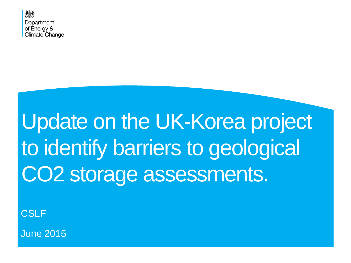

# Update on the UK-Korea project to identify barriers to geological CO2 storage assessments.

**CSLF** 

June 2015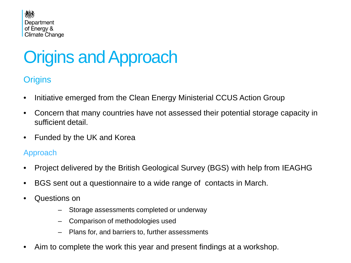

## Origins and Approach

#### **Origins**

- Initiative emerged from the Clean Energy Ministerial CCUS Action Group
- Concern that many countries have not assessed their potential storage capacity in sufficient detail.
- Funded by the UK and Korea

#### Approach

- Project delivered by the British Geological Survey (BGS) with help from IEAGHG
- BGS sent out a questionnaire to a wide range of contacts in March.
- Questions on
	- Storage assessments completed or underway
	- Comparison of methodologies used
	- Plans for, and barriers to, further assessments
- Aim to complete the work this year and present findings at a workshop.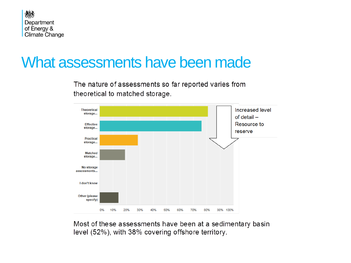

#### What assessments have been made

The nature of assessments so far reported varies from theoretical to matched storage.



Most of these assessments have been at a sedimentary basin level (52%), with 38% covering offshore territory.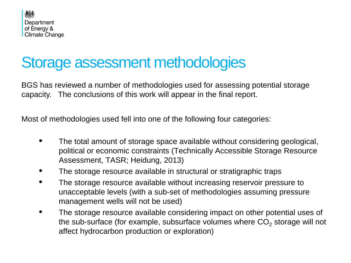

## Storage assessment methodologies

BGS has reviewed a number of methodologies used for assessing potential storage capacity. The conclusions of this work will appear in the final report.

Most of methodologies used fell into one of the following four categories:

- The total amount of storage space available without considering geological, political or economic constraints (Technically Accessible Storage Resource Assessment, TASR; Heidung, 2013)
- The storage resource available in structural or stratigraphic traps
- The storage resource available without increasing reservoir pressure to unacceptable levels (with a sub-set of methodologies assuming pressure management wells will not be used)
- The storage resource available considering impact on other potential uses of the sub-surface (for example, subsurface volumes where  $CO<sub>2</sub>$  storage will not affect hydrocarbon production or exploration)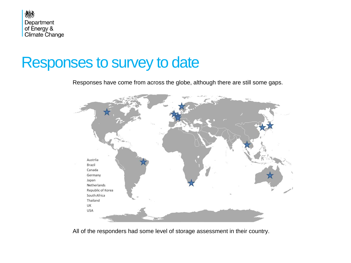

#### Responses to survey to date

Responses have come from across the globe, although there are still some gaps.



All of the responders had some level of storage assessment in their country.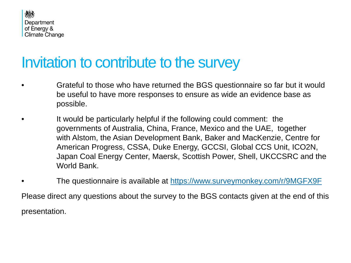

### Invitation to contribute to the survey

- Grateful to those who have returned the BGS questionnaire so far but it would be useful to have more responses to ensure as wide an evidence base as possible.
- It would be particularly helpful if the following could comment: the governments of Australia, China, France, Mexico and the UAE, together with Alstom, the Asian Development Bank, Baker and MacKenzie, Centre for American Progress, CSSA, Duke Energy, GCCSI, Global CCS Unit, ICO2N, Japan Coal Energy Center, Maersk, Scottish Power, Shell, UKCCSRC and the World Bank.
- The questionnaire is available at <https://www.surveymonkey.com/r/9MGFX9F> Please direct any questions about the survey to the BGS contacts given at the end of this presentation.